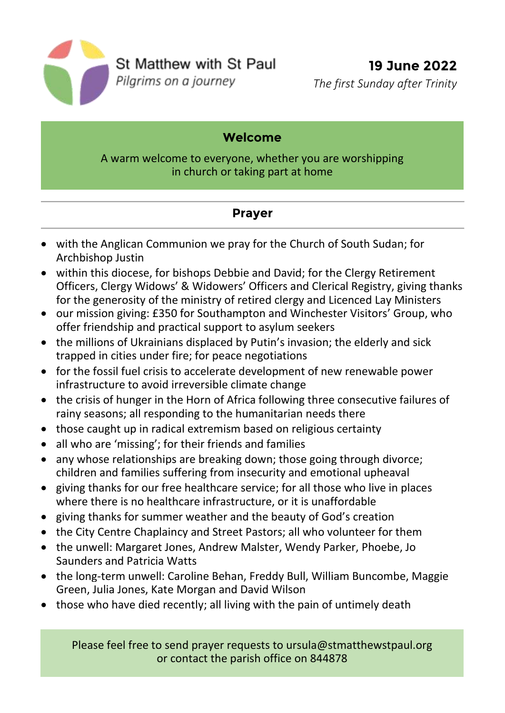

# **Welcome**

A warm welcome to everyone, whether you are worshipping in church or taking part at home

### **Prayer**

- with the Anglican Communion we pray for the Church of South Sudan; for Archbishop Justin
- within this diocese, for bishops Debbie and David; for the Clergy Retirement Officers, Clergy Widows' & Widowers' Officers and Clerical Registry, giving thanks for the generosity of the ministry of retired clergy and Licenced Lay Ministers
- our mission giving: £350 for Southampton and Winchester Visitors' Group, who offer friendship and practical support to asylum seekers
- the millions of Ukrainians displaced by Putin's invasion; the elderly and sick trapped in cities under fire; for peace negotiations
- for the fossil fuel crisis to accelerate development of new renewable power infrastructure to avoid irreversible climate change
- the crisis of hunger in the Horn of Africa following three consecutive failures of rainy seasons; all responding to the humanitarian needs there
- those caught up in radical extremism based on religious certainty
- all who are 'missing'; for their friends and families
- any whose relationships are breaking down; those going through divorce; children and families suffering from insecurity and emotional upheaval
- giving thanks for our free healthcare service; for all those who live in places where there is no healthcare infrastructure, or it is unaffordable
- giving thanks for summer weather and the beauty of God's creation
- the City Centre Chaplaincy and Street Pastors; all who volunteer for them
- the unwell: Margaret Jones, Andrew Malster, Wendy Parker, Phoebe, Jo Saunders and Patricia Watts
- the long-term unwell: Caroline Behan, Freddy Bull, William Buncombe, Maggie Green, Julia Jones, Kate Morgan and David Wilson
- those who have died recently; all living with the pain of untimely death

Please feel free to send prayer requests to ursula@stmatthewstpaul.org or contact the parish office on 844878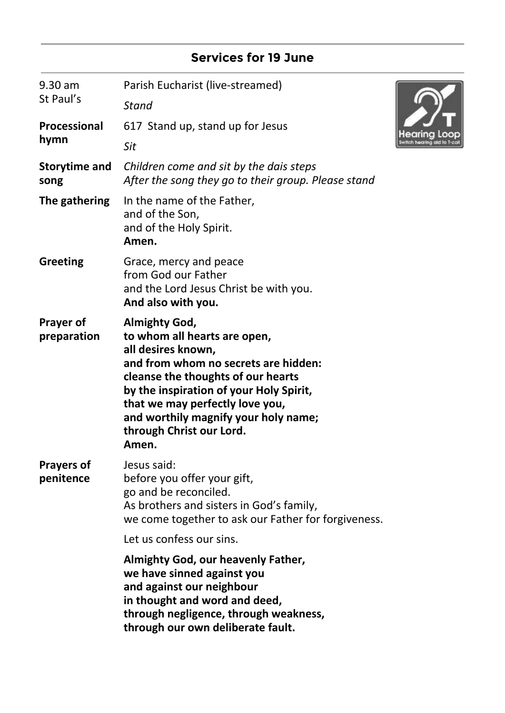# **Services for 19 June**

| 9.30 am<br>St Paul's            | Parish Eucharist (live-streamed)                                                                                                                                                                                                                                                                             |  |
|---------------------------------|--------------------------------------------------------------------------------------------------------------------------------------------------------------------------------------------------------------------------------------------------------------------------------------------------------------|--|
|                                 | Stand                                                                                                                                                                                                                                                                                                        |  |
| Processional<br>hymn            | 617 Stand up, stand up for Jesus                                                                                                                                                                                                                                                                             |  |
|                                 | Sit                                                                                                                                                                                                                                                                                                          |  |
| <b>Storytime and</b><br>song    | Children come and sit by the dais steps<br>After the song they go to their group. Please stand                                                                                                                                                                                                               |  |
| The gathering                   | In the name of the Father,<br>and of the Son,<br>and of the Holy Spirit.<br>Amen.                                                                                                                                                                                                                            |  |
| <b>Greeting</b>                 | Grace, mercy and peace<br>from God our Father<br>and the Lord Jesus Christ be with you.<br>And also with you.                                                                                                                                                                                                |  |
| <b>Prayer of</b><br>preparation | Almighty God,<br>to whom all hearts are open,<br>all desires known,<br>and from whom no secrets are hidden:<br>cleanse the thoughts of our hearts<br>by the inspiration of your Holy Spirit,<br>that we may perfectly love you,<br>and worthily magnify your holy name;<br>through Christ our Lord.<br>Amen. |  |
| <b>Prayers of</b><br>penitence  | Jesus said:<br>before you offer your gift,<br>go and be reconciled.<br>As brothers and sisters in God's family,<br>we come together to ask our Father for forgiveness.                                                                                                                                       |  |
|                                 | Let us confess our sins.                                                                                                                                                                                                                                                                                     |  |
|                                 | Almighty God, our heavenly Father,<br>we have sinned against you<br>and against our neighbour<br>in thought and word and deed,<br>through negligence, through weakness,<br>through our own deliberate fault.                                                                                                 |  |

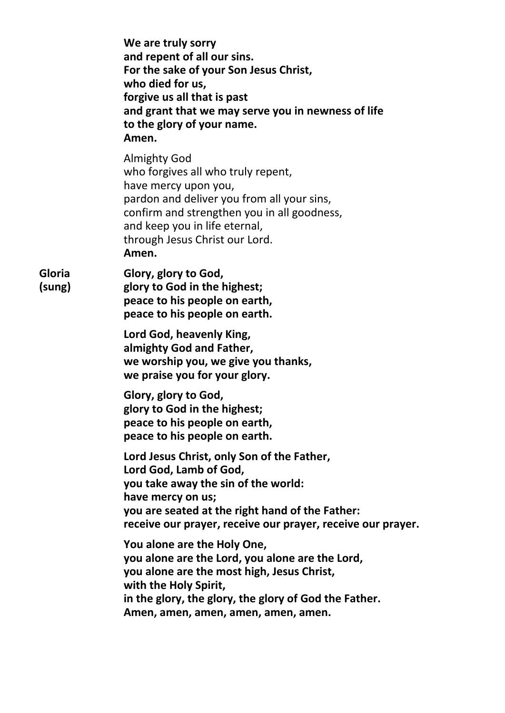|                  | We are truly sorry<br>and repent of all our sins.<br>For the sake of your Son Jesus Christ,<br>who died for us,<br>forgive us all that is past<br>and grant that we may serve you in newness of life<br>to the glory of your name.<br>Amen.                |
|------------------|------------------------------------------------------------------------------------------------------------------------------------------------------------------------------------------------------------------------------------------------------------|
|                  | <b>Almighty God</b><br>who forgives all who truly repent,<br>have mercy upon you,<br>pardon and deliver you from all your sins,<br>confirm and strengthen you in all goodness,<br>and keep you in life eternal,<br>through Jesus Christ our Lord.<br>Amen. |
| Gloria<br>(sung) | Glory, glory to God,<br>glory to God in the highest;<br>peace to his people on earth,<br>peace to his people on earth.                                                                                                                                     |
|                  | Lord God, heavenly King,<br>almighty God and Father,<br>we worship you, we give you thanks,<br>we praise you for your glory.                                                                                                                               |
|                  | Glory, glory to God,<br>glory to God in the highest;<br>peace to his people on earth,<br>peace to his people on earth.                                                                                                                                     |
|                  | Lord Jesus Christ, only Son of the Father,<br>Lord God, Lamb of God,<br>you take away the sin of the world:<br>have mercy on us;<br>you are seated at the right hand of the Father:<br>receive our prayer, receive our prayer, receive our prayer.         |
|                  | You alone are the Holy One,<br>you alone are the Lord, you alone are the Lord,<br>you alone are the most high, Jesus Christ,<br>with the Holy Spirit,<br>in the glory, the glory, the glory of God the Father.<br>Amen, amen, amen, amen, amen, amen.      |
|                  |                                                                                                                                                                                                                                                            |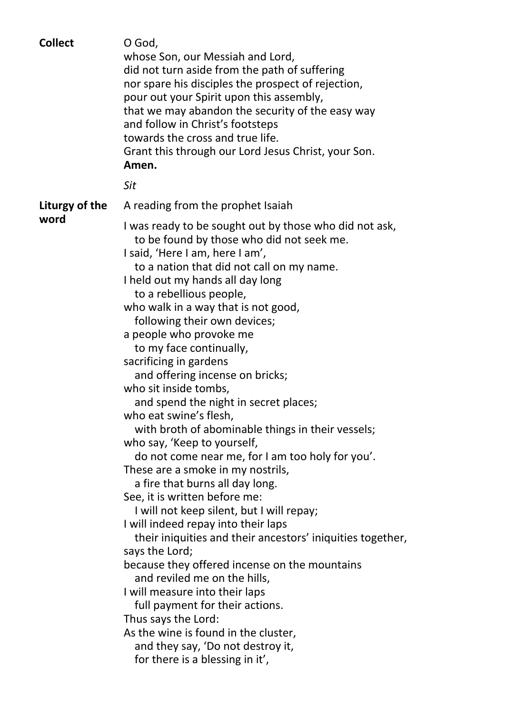| <b>Collect</b> | O God,<br>whose Son, our Messiah and Lord,<br>did not turn aside from the path of suffering<br>nor spare his disciples the prospect of rejection,<br>pour out your Spirit upon this assembly,<br>that we may abandon the security of the easy way<br>and follow in Christ's footsteps<br>towards the cross and true life.<br>Grant this through our Lord Jesus Christ, your Son.<br>Amen.                                                                                                                                                                                                                                                                                                                                                                                                                                                                                                                                                                                                                                                                                                                                                                                                                                                                  |
|----------------|------------------------------------------------------------------------------------------------------------------------------------------------------------------------------------------------------------------------------------------------------------------------------------------------------------------------------------------------------------------------------------------------------------------------------------------------------------------------------------------------------------------------------------------------------------------------------------------------------------------------------------------------------------------------------------------------------------------------------------------------------------------------------------------------------------------------------------------------------------------------------------------------------------------------------------------------------------------------------------------------------------------------------------------------------------------------------------------------------------------------------------------------------------------------------------------------------------------------------------------------------------|
|                | Sit                                                                                                                                                                                                                                                                                                                                                                                                                                                                                                                                                                                                                                                                                                                                                                                                                                                                                                                                                                                                                                                                                                                                                                                                                                                        |
| Liturgy of the | A reading from the prophet Isaiah                                                                                                                                                                                                                                                                                                                                                                                                                                                                                                                                                                                                                                                                                                                                                                                                                                                                                                                                                                                                                                                                                                                                                                                                                          |
| word           | I was ready to be sought out by those who did not ask,<br>to be found by those who did not seek me.<br>I said, 'Here I am, here I am',<br>to a nation that did not call on my name.<br>I held out my hands all day long<br>to a rebellious people,<br>who walk in a way that is not good,<br>following their own devices;<br>a people who provoke me<br>to my face continually,<br>sacrificing in gardens<br>and offering incense on bricks;<br>who sit inside tombs,<br>and spend the night in secret places;<br>who eat swine's flesh,<br>with broth of abominable things in their vessels;<br>who say, 'Keep to yourself,<br>do not come near me, for I am too holy for you'.<br>These are a smoke in my nostrils,<br>a fire that burns all day long.<br>See, it is written before me:<br>I will not keep silent, but I will repay;<br>I will indeed repay into their laps<br>their iniquities and their ancestors' iniquities together,<br>says the Lord;<br>because they offered incense on the mountains<br>and reviled me on the hills,<br>I will measure into their laps<br>full payment for their actions.<br>Thus says the Lord:<br>As the wine is found in the cluster,<br>and they say, 'Do not destroy it,<br>for there is a blessing in it', |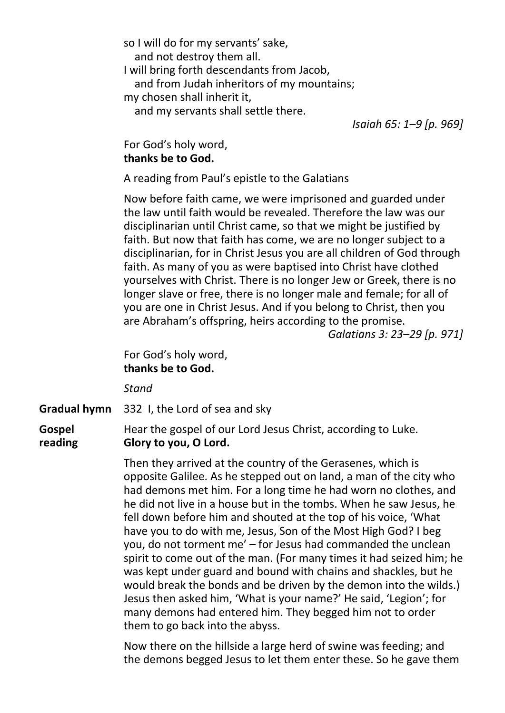|                          | so I will do for my servants' sake,<br>and not destroy them all.<br>I will bring forth descendants from Jacob,<br>and from Judah inheritors of my mountains;                                                                                                                                                                                                                                                                                                                                                                                                                                                                                                                                                                                                                                                                       |
|--------------------------|------------------------------------------------------------------------------------------------------------------------------------------------------------------------------------------------------------------------------------------------------------------------------------------------------------------------------------------------------------------------------------------------------------------------------------------------------------------------------------------------------------------------------------------------------------------------------------------------------------------------------------------------------------------------------------------------------------------------------------------------------------------------------------------------------------------------------------|
|                          | my chosen shall inherit it,<br>and my servants shall settle there.<br>Isaiah 65: 1–9 [p. 969]                                                                                                                                                                                                                                                                                                                                                                                                                                                                                                                                                                                                                                                                                                                                      |
|                          | For God's holy word,<br>thanks be to God.                                                                                                                                                                                                                                                                                                                                                                                                                                                                                                                                                                                                                                                                                                                                                                                          |
|                          | A reading from Paul's epistle to the Galatians                                                                                                                                                                                                                                                                                                                                                                                                                                                                                                                                                                                                                                                                                                                                                                                     |
|                          | Now before faith came, we were imprisoned and guarded under<br>the law until faith would be revealed. Therefore the law was our<br>disciplinarian until Christ came, so that we might be justified by<br>faith. But now that faith has come, we are no longer subject to a<br>disciplinarian, for in Christ Jesus you are all children of God through<br>faith. As many of you as were baptised into Christ have clothed<br>yourselves with Christ. There is no longer Jew or Greek, there is no<br>longer slave or free, there is no longer male and female; for all of<br>you are one in Christ Jesus. And if you belong to Christ, then you<br>are Abraham's offspring, heirs according to the promise.<br>Galatians 3: 23–29 [p. 971]                                                                                          |
|                          | For God's holy word,<br>thanks be to God.                                                                                                                                                                                                                                                                                                                                                                                                                                                                                                                                                                                                                                                                                                                                                                                          |
|                          | Stand                                                                                                                                                                                                                                                                                                                                                                                                                                                                                                                                                                                                                                                                                                                                                                                                                              |
| <b>Gradual hymn</b>      | 332 I, the Lord of sea and sky                                                                                                                                                                                                                                                                                                                                                                                                                                                                                                                                                                                                                                                                                                                                                                                                     |
| <b>Gospel</b><br>reading | Hear the gospel of our Lord Jesus Christ, according to Luke.<br>Glory to you, O Lord.                                                                                                                                                                                                                                                                                                                                                                                                                                                                                                                                                                                                                                                                                                                                              |
|                          | Then they arrived at the country of the Gerasenes, which is<br>opposite Galilee. As he stepped out on land, a man of the city who<br>had demons met him. For a long time he had worn no clothes, and<br>he did not live in a house but in the tombs. When he saw Jesus, he<br>fell down before him and shouted at the top of his voice, 'What<br>have you to do with me, Jesus, Son of the Most High God? I beg<br>you, do not torment me' – for Jesus had commanded the unclean<br>spirit to come out of the man. (For many times it had seized him; he<br>was kept under guard and bound with chains and shackles, but he<br>would break the bonds and be driven by the demon into the wilds.)<br>Jesus then asked him, 'What is your name?' He said, 'Legion'; for<br>many demons had entered him. They begged him not to order |

Now there on the hillside a large herd of swine was feeding; and the demons begged Jesus to let them enter these. So he gave them

them to go back into the abyss.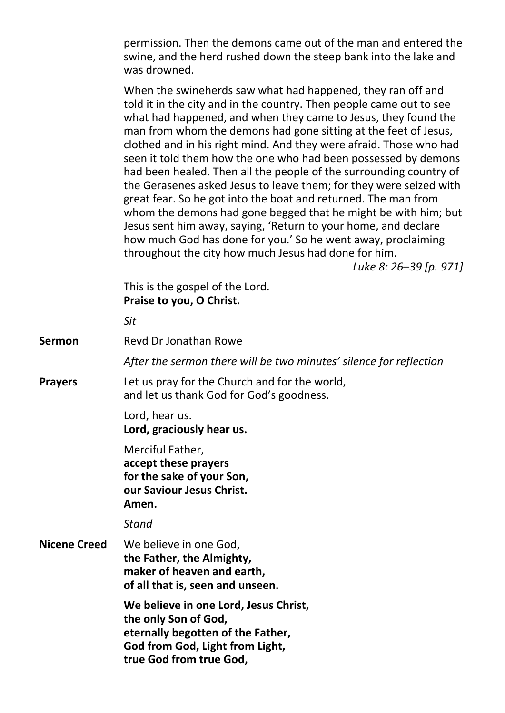permission. Then the demons came out of the man and entered the swine, and the herd rushed down the steep bank into the lake and was drowned.

When the swineherds saw what had happened, they ran off and told it in the city and in the country. Then people came out to see what had happened, and when they came to Jesus, they found the man from whom the demons had gone sitting at the feet of Jesus, clothed and in his right mind. And they were afraid. Those who had seen it told them how the one who had been possessed by demons had been healed. Then all the people of the surrounding country of the Gerasenes asked Jesus to leave them; for they were seized with great fear. So he got into the boat and returned. The man from whom the demons had gone begged that he might be with him; but Jesus sent him away, saying, 'Return to your home, and declare how much God has done for you.' So he went away, proclaiming throughout the city how much Jesus had done for him.

*Luke 8: 26–39 [p. 971]*

This is the gospel of the Lord. **Praise to you, O Christ.**

*Sit*

**Sermon** Revd Dr Jonathan Rowe

*After the sermon there will be two minutes' silence for reflection*

**Prayers** Let us pray for the Church and for the world, and let us thank God for God's goodness.

> Lord, hear us. **Lord, graciously hear us.**

Merciful Father, **accept these prayers for the sake of your Son, our Saviour Jesus Christ. Amen.**

*Stand*

**Nicene Creed** We believe in one God, **the Father, the Almighty, maker of heaven and earth, of all that is, seen and unseen.**

> **We believe in one Lord, Jesus Christ, the only Son of God, eternally begotten of the Father, God from God, Light from Light, true God from true God,**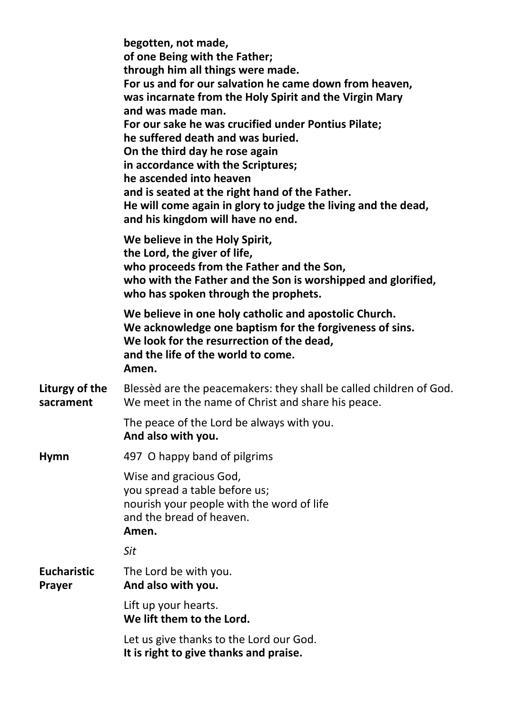|                              | begotten, not made,<br>of one Being with the Father;<br>through him all things were made.<br>For us and for our salvation he came down from heaven,<br>was incarnate from the Holy Spirit and the Virgin Mary<br>and was made man.<br>For our sake he was crucified under Pontius Pilate;<br>he suffered death and was buried.<br>On the third day he rose again<br>in accordance with the Scriptures;<br>he ascended into heaven<br>and is seated at the right hand of the Father.<br>He will come again in glory to judge the living and the dead,<br>and his kingdom will have no end. |
|------------------------------|-------------------------------------------------------------------------------------------------------------------------------------------------------------------------------------------------------------------------------------------------------------------------------------------------------------------------------------------------------------------------------------------------------------------------------------------------------------------------------------------------------------------------------------------------------------------------------------------|
|                              | We believe in the Holy Spirit,<br>the Lord, the giver of life,<br>who proceeds from the Father and the Son,<br>who with the Father and the Son is worshipped and glorified,<br>who has spoken through the prophets.                                                                                                                                                                                                                                                                                                                                                                       |
|                              | We believe in one holy catholic and apostolic Church.<br>We acknowledge one baptism for the forgiveness of sins.<br>We look for the resurrection of the dead,<br>and the life of the world to come.<br>Amen.                                                                                                                                                                                                                                                                                                                                                                              |
| Liturgy of the<br>sacrament  | Blessed are the peacemakers: they shall be called children of God.<br>We meet in the name of Christ and share his peace.                                                                                                                                                                                                                                                                                                                                                                                                                                                                  |
|                              | The peace of the Lord be always with you.<br>And also with you.                                                                                                                                                                                                                                                                                                                                                                                                                                                                                                                           |
| <b>Hymn</b>                  | 497 O happy band of pilgrims                                                                                                                                                                                                                                                                                                                                                                                                                                                                                                                                                              |
|                              | Wise and gracious God,<br>you spread a table before us;<br>nourish your people with the word of life<br>and the bread of heaven.<br>Amen.                                                                                                                                                                                                                                                                                                                                                                                                                                                 |
|                              | Sit                                                                                                                                                                                                                                                                                                                                                                                                                                                                                                                                                                                       |
| <b>Eucharistic</b><br>Prayer | The Lord be with you.<br>And also with you.                                                                                                                                                                                                                                                                                                                                                                                                                                                                                                                                               |
|                              | Lift up your hearts.<br>We lift them to the Lord.                                                                                                                                                                                                                                                                                                                                                                                                                                                                                                                                         |
|                              | Let us give thanks to the Lord our God.<br>It is right to give thanks and praise.                                                                                                                                                                                                                                                                                                                                                                                                                                                                                                         |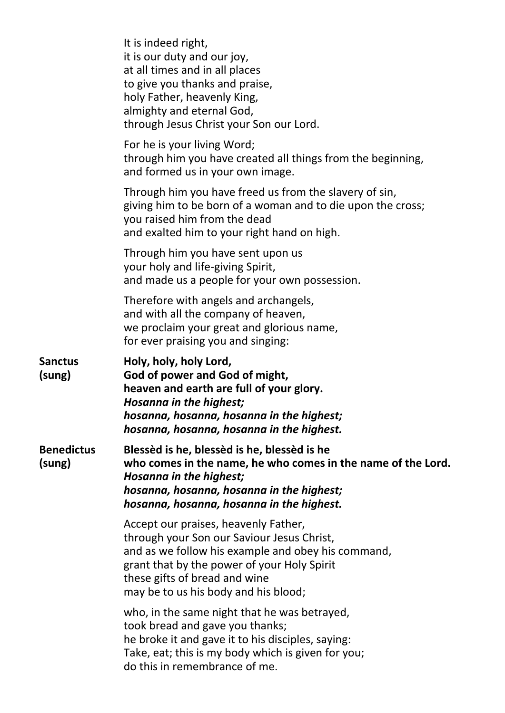|                             | It is indeed right,<br>it is our duty and our joy,<br>at all times and in all places<br>to give you thanks and praise,<br>holy Father, heavenly King,<br>almighty and eternal God,<br>through Jesus Christ your Son our Lord.    |
|-----------------------------|----------------------------------------------------------------------------------------------------------------------------------------------------------------------------------------------------------------------------------|
|                             | For he is your living Word;<br>through him you have created all things from the beginning,<br>and formed us in your own image.                                                                                                   |
|                             | Through him you have freed us from the slavery of sin,<br>giving him to be born of a woman and to die upon the cross;<br>you raised him from the dead<br>and exalted him to your right hand on high.                             |
|                             | Through him you have sent upon us<br>your holy and life-giving Spirit,<br>and made us a people for your own possession.                                                                                                          |
|                             | Therefore with angels and archangels,<br>and with all the company of heaven,<br>we proclaim your great and glorious name,<br>for ever praising you and singing:                                                                  |
| <b>Sanctus</b><br>(sung)    | Holy, holy, holy Lord,<br>God of power and God of might,<br>heaven and earth are full of your glory.<br>Hosanna in the highest;<br>hosanna, hosanna, hosanna in the highest;<br>hosanna, hosanna, hosanna in the highest.        |
| <b>Benedictus</b><br>(sung) | Blessèd is he, blessèd is he, blessèd is he<br>who comes in the name, he who comes in the name of the Lord.<br>Hosanna in the highest;<br>hosanna, hosanna, hosanna in the highest;<br>hosanna, hosanna, hosanna in the highest. |
|                             | Accept our praises, heavenly Father,<br>through your Son our Saviour Jesus Christ,<br>and as we follow his example and obey his command,<br>grant that by the power of your Holy Spirit<br>these gifts of bread and wine         |
|                             | may be to us his body and his blood;                                                                                                                                                                                             |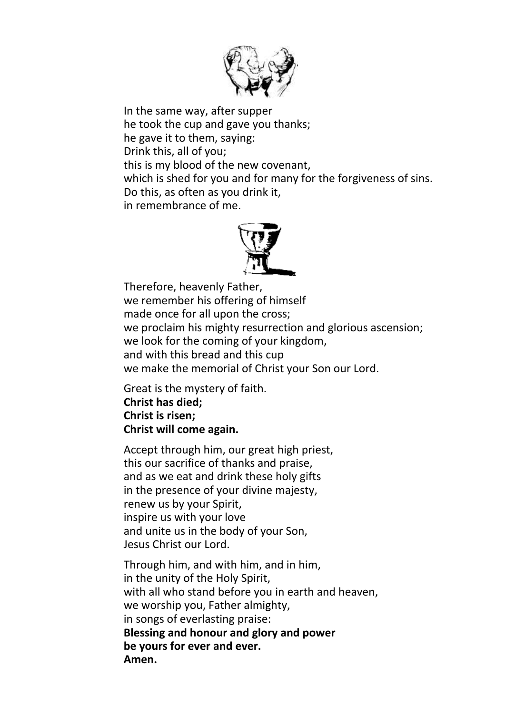

In the same way, after supper he took the cup and gave you thanks; he gave it to them, saying: Drink this, all of you; this is my blood of the new covenant, which is shed for you and for many for the forgiveness of sins. Do this, as often as you drink it, in remembrance of me.



Therefore, heavenly Father, we remember his offering of himself made once for all upon the cross; we proclaim his mighty resurrection and glorious ascension; we look for the coming of your kingdom, and with this bread and this cup we make the memorial of Christ your Son our Lord.

Great is the mystery of faith. **Christ has died; Christ is risen; Christ will come again.**

Accept through him, our great high priest, this our sacrifice of thanks and praise, and as we eat and drink these holy gifts in the presence of your divine majesty, renew us by your Spirit, inspire us with your love and unite us in the body of your Son, Jesus Christ our Lord.

Through him, and with him, and in him, in the unity of the Holy Spirit, with all who stand before you in earth and heaven, we worship you, Father almighty, in songs of everlasting praise: **Blessing and honour and glory and power be yours for ever and ever. Amen.**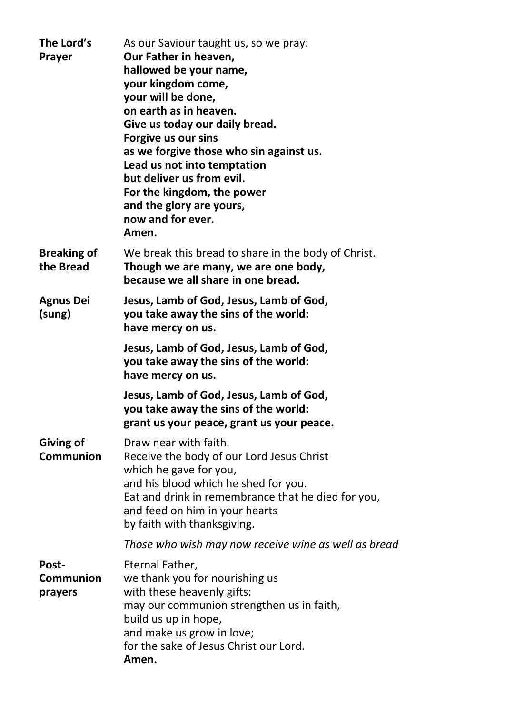| The Lord's<br><b>Prayer</b>     | As our Saviour taught us, so we pray:<br>Our Father in heaven,<br>hallowed be your name,<br>your kingdom come,<br>your will be done,<br>on earth as in heaven.<br>Give us today our daily bread.<br><b>Forgive us our sins</b><br>as we forgive those who sin against us.<br>Lead us not into temptation<br>but deliver us from evil.<br>For the kingdom, the power<br>and the glory are yours,<br>now and for ever.<br>Amen. |
|---------------------------------|-------------------------------------------------------------------------------------------------------------------------------------------------------------------------------------------------------------------------------------------------------------------------------------------------------------------------------------------------------------------------------------------------------------------------------|
| <b>Breaking of</b><br>the Bread | We break this bread to share in the body of Christ.<br>Though we are many, we are one body,<br>because we all share in one bread.                                                                                                                                                                                                                                                                                             |
| <b>Agnus Dei</b><br>(sung)      | Jesus, Lamb of God, Jesus, Lamb of God,<br>you take away the sins of the world:<br>have mercy on us.                                                                                                                                                                                                                                                                                                                          |
|                                 | Jesus, Lamb of God, Jesus, Lamb of God,<br>you take away the sins of the world:<br>have mercy on us.                                                                                                                                                                                                                                                                                                                          |
|                                 | Jesus, Lamb of God, Jesus, Lamb of God,<br>you take away the sins of the world:<br>grant us your peace, grant us your peace.                                                                                                                                                                                                                                                                                                  |
| Giving of<br><b>Communion</b>   | Draw near with faith.<br>Receive the body of our Lord Jesus Christ<br>which he gave for you,<br>and his blood which he shed for you.<br>Eat and drink in remembrance that he died for you,<br>and feed on him in your hearts<br>by faith with thanksgiving.                                                                                                                                                                   |
|                                 | Those who wish may now receive wine as well as bread                                                                                                                                                                                                                                                                                                                                                                          |
| Post-<br>Communion<br>prayers   | Eternal Father,<br>we thank you for nourishing us<br>with these heavenly gifts:<br>may our communion strengthen us in faith,<br>build us up in hope,<br>and make us grow in love;<br>for the sake of Jesus Christ our Lord.<br>Amen.                                                                                                                                                                                          |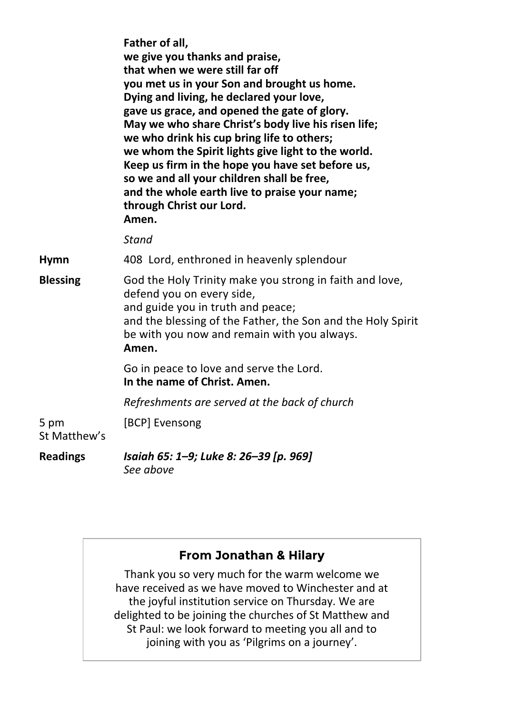|                      | Father of all,<br>we give you thanks and praise,<br>that when we were still far off<br>you met us in your Son and brought us home.<br>Dying and living, he declared your love,<br>gave us grace, and opened the gate of glory.<br>May we who share Christ's body live his risen life;<br>we who drink his cup bring life to others;<br>we whom the Spirit lights give light to the world.<br>Keep us firm in the hope you have set before us,<br>so we and all your children shall be free,<br>and the whole earth live to praise your name;<br>through Christ our Lord.<br>Amen. |
|----------------------|-----------------------------------------------------------------------------------------------------------------------------------------------------------------------------------------------------------------------------------------------------------------------------------------------------------------------------------------------------------------------------------------------------------------------------------------------------------------------------------------------------------------------------------------------------------------------------------|
|                      | <b>Stand</b>                                                                                                                                                                                                                                                                                                                                                                                                                                                                                                                                                                      |
| <b>Hymn</b>          | 408 Lord, enthroned in heavenly splendour                                                                                                                                                                                                                                                                                                                                                                                                                                                                                                                                         |
| <b>Blessing</b>      | God the Holy Trinity make you strong in faith and love,<br>defend you on every side,<br>and guide you in truth and peace;<br>and the blessing of the Father, the Son and the Holy Spirit<br>be with you now and remain with you always.<br>Amen.                                                                                                                                                                                                                                                                                                                                  |
|                      | Go in peace to love and serve the Lord.<br>In the name of Christ. Amen.                                                                                                                                                                                                                                                                                                                                                                                                                                                                                                           |
|                      | Refreshments are served at the back of church                                                                                                                                                                                                                                                                                                                                                                                                                                                                                                                                     |
| 5 pm<br>St Matthew's | [BCP] Evensong                                                                                                                                                                                                                                                                                                                                                                                                                                                                                                                                                                    |
| <b>Readings</b>      | Isaiah 65: 1-9; Luke 8: 26-39 [p. 969]<br>See above                                                                                                                                                                                                                                                                                                                                                                                                                                                                                                                               |

# **From Jonathan & Hilary**

Thank you so very much for the warm welcome we have received as we have moved to Winchester and at the joyful institution service on Thursday. We are delighted to be joining the churches of St Matthew and St Paul: we look forward to meeting you all and to joining with you as 'Pilgrims on a journey'.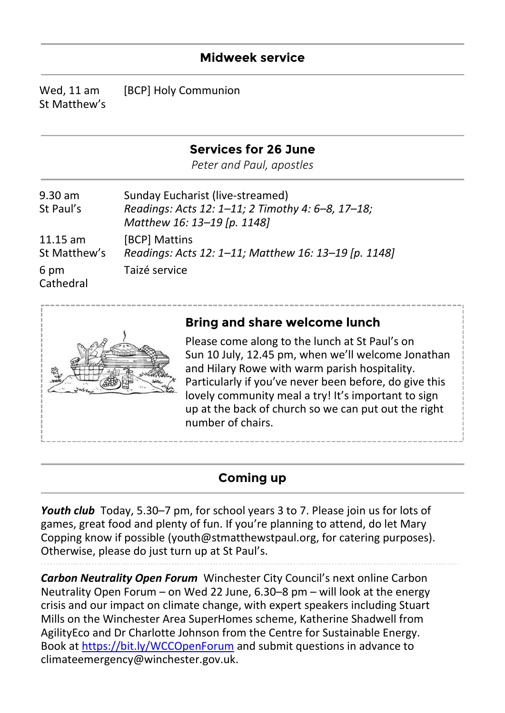# **Midweek service**

Wed, 11 am St Matthew's [BCP] Holy Communion

#### **Services for 26 June**

*Peter and Paul, apostles*

| 9.30 am<br>St Paul's       | Sunday Eucharist (live-streamed)<br>Readings: Acts 12: 1-11; 2 Timothy 4: 6-8, 17-18;<br>Matthew 16: 13-19 [p. 1148] |
|----------------------------|----------------------------------------------------------------------------------------------------------------------|
| $11.15$ am<br>St Matthew's | [BCP] Mattins<br>Readings: Acts 12: 1-11; Matthew 16: 13-19 [p. 1148]                                                |
| 6 pm<br>Cathedral          | Taizé service                                                                                                        |



### **Bring and share welcome lunch**

Please come along to the lunch at St Paul's on Sun 10 July, 12.45 pm, when we'll welcome Jonathan and Hilary Rowe with warm parish hospitality. Particularly if you've never been before, do give this lovely community meal a try! It's important to sign up at the back of church so we can put out the right number of chairs.

# **Coming up**

*Youth club* Today, 5.30–7 pm, for school years 3 to 7. Please join us for lots of games, great food and plenty of fun. If you're planning to attend, do let Mary Copping know if possible (youth@stmatthewstpaul.org, for catering purposes). Otherwise, please do just turn up at St Paul's.

*Carbon Neutrality Open Forum* Winchester City Council's next online Carbon Neutrality Open Forum – on Wed 22 June, 6.30–8 pm – will look at the energy crisis and our impact on climate change, with expert speakers including Stuart Mills on the Winchester Area SuperHomes scheme, Katherine Shadwell from AgilityEco and Dr Charlotte Johnson from the Centre for Sustainable Energy. Book at<https://bit.ly/WCCOpenForum> and submit questions in advance to climateemergency@winchester.gov.uk.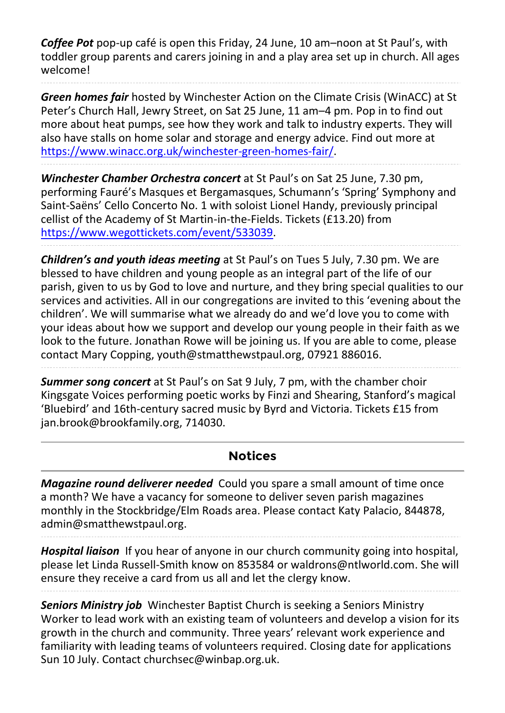*Coffee Pot* pop-up café is open this Friday, 24 June, 10 am–noon at St Paul's, with toddler group parents and carers joining in and a play area set up in church. All ages welcome!

*Green homes fair* hosted by Winchester Action on the Climate Crisis (WinACC) at St Peter's Church Hall, Jewry Street, on Sat 25 June, 11 am–4 pm. Pop in to find out more about heat pumps, see how they work and talk to industry experts. They will also have stalls on home solar and storage and energy advice. Find out more at [https://www.winacc.org.uk/winchester-green-homes-fair/.](https://www.winacc.org.uk/winchester-green-homes-fair/)

*Winchester Chamber Orchestra concert* at St Paul's on Sat 25 June, 7.30 pm, performing Fauré's Masques et Bergamasques, Schumann's 'Spring' Symphony and Saint-Saëns' Cello Concerto No. 1 with soloist Lionel Handy, previously principal cellist of the Academy of St Martin-in-the-Fields. Tickets (£13.20) from [https://www.wegottickets.com/event/533039.](https://www.wegottickets.com/event/533039)

*Children's and youth ideas meeting* at St Paul's on Tues 5 July, 7.30 pm. We are blessed to have children and young people as an integral part of the life of our parish, given to us by God to love and nurture, and they bring special qualities to our services and activities. All in our congregations are invited to this 'evening about the children'. We will summarise what we already do and we'd love you to come with your ideas about how we support and develop our young people in their faith as we look to the future. Jonathan Rowe will be joining us. If you are able to come, please contact Mary Copping, youth@stmatthewstpaul.org, 07921 886016.

*Summer song concert* at St Paul's on Sat 9 July, 7 pm, with the chamber choir Kingsgate Voices performing poetic works by Finzi and Shearing, Stanford's magical 'Bluebird' and 16th-century sacred music by Byrd and Victoria. Tickets £15 from jan.brook@brookfamily.org, 714030.

#### **Notices**

*Magazine round deliverer needed*Could you spare a small amount of time once a month? We have a vacancy for someone to deliver seven parish magazines monthly in the Stockbridge/Elm Roads area. Please contact Katy Palacio, 844878, admin@smatthewstpaul.org.

**Hospital liaison** If you hear of anyone in our church community going into hospital, please let Linda Russell-Smith know on 853584 or waldrons@ntlworld.com. She will ensure they receive a card from us all and let the clergy know.

*Seniors Ministry job*Winchester Baptist Church is seeking a Seniors Ministry Worker to lead work with an existing team of volunteers and develop a vision for its growth in the church and community. Three years' relevant work experience and familiarity with leading teams of volunteers required. Closing date for applications Sun 10 July. Contact churchsec@winbap.org.uk.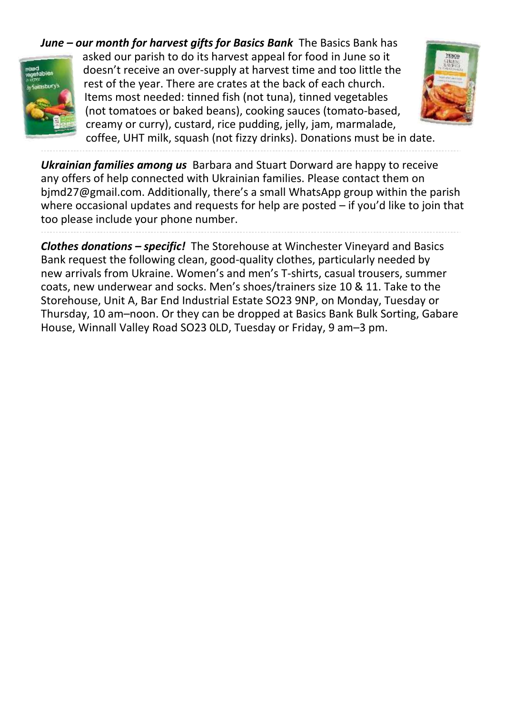*June – our month for harvest gifts for Basics Bank* The Basics Bank has



asked our parish to do its harvest appeal for food in June so it doesn't receive an over-supply at harvest time and too little the rest of the year. There are crates at the back of each church. Items most needed: tinned fish (not tuna), tinned vegetables (not tomatoes or baked beans), cooking sauces (tomato-based, creamy or curry), custard, rice pudding, jelly, jam, marmalade, coffee, UHT milk, squash (not fizzy drinks). Donations must be in date.



*Ukrainian families among us* Barbara and Stuart Dorward are happy to receive any offers of help connected with Ukrainian families. Please contact them on bjmd27@gmail.com. Additionally, there's a small WhatsApp group within the parish where occasional updates and requests for help are posted – if you'd like to join that too please include your phone number.

*Clothes donations – specific!*The Storehouse at Winchester Vineyard and Basics Bank request the following clean, good-quality clothes, particularly needed by new arrivals from Ukraine. Women's and men's T-shirts, casual trousers, summer coats, new underwear and socks. Men's shoes/trainers size 10 & 11. Take to the Storehouse, Unit A, Bar End Industrial Estate SO23 9NP, on Monday, Tuesday or Thursday, 10 am–noon. Or they can be dropped at Basics Bank Bulk Sorting, Gabare House, Winnall Valley Road SO23 0LD, Tuesday or Friday, 9 am–3 pm.